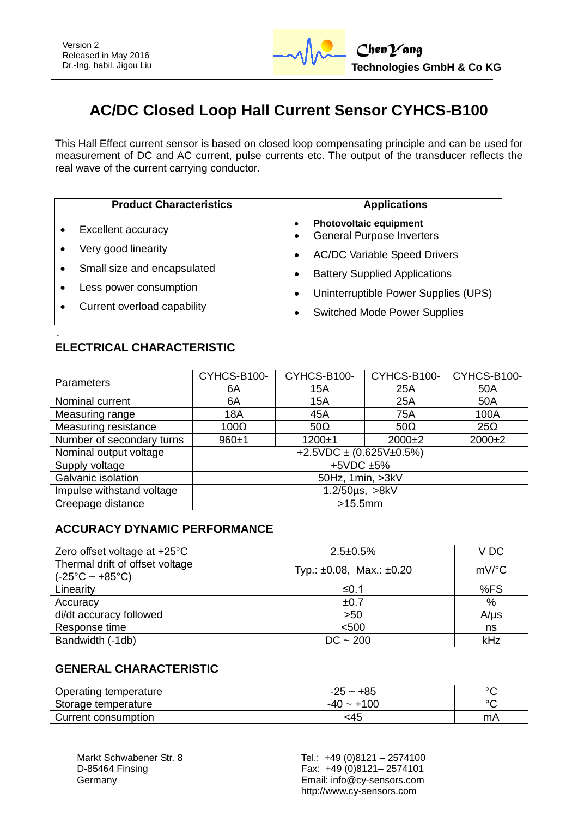

# **AC/DC Closed Loop Hall Current Sensor CYHCS-B100**

This Hall Effect current sensor is based on closed loop compensating principle and can be used for measurement of DC and AC current, pulse currents etc. The output of the transducer reflects the real wave of the current carrying conductor.

| <b>Product Characteristics</b> | <b>Applications</b>                                               |  |  |  |
|--------------------------------|-------------------------------------------------------------------|--|--|--|
| Excellent accuracy             | <b>Photovoltaic equipment</b><br><b>General Purpose Inverters</b> |  |  |  |
| Very good linearity            | <b>AC/DC Variable Speed Drivers</b>                               |  |  |  |
| Small size and encapsulated    | <b>Battery Supplied Applications</b>                              |  |  |  |
| Less power consumption         | Uninterruptible Power Supplies (UPS)<br>٠                         |  |  |  |
| Current overload capability    | <b>Switched Mode Power Supplies</b>                               |  |  |  |

#### **ELECTRICAL CHARACTERISTIC**

| <b>Parameters</b>         | CYHCS-B100-                          | CYHCS-B100- | CYHCS-B100- | CYHCS-B100- |  |  |  |
|---------------------------|--------------------------------------|-------------|-------------|-------------|--|--|--|
|                           | 6A                                   | 15A         | 25A         | 50A         |  |  |  |
| Nominal current           | 6A                                   | 15A         | 25A         | 50A         |  |  |  |
| Measuring range           | 18A                                  | 45A         | <b>75A</b>  | 100A        |  |  |  |
| Measuring resistance      | $100\Omega$                          | $50\Omega$  | $50\Omega$  | $25\Omega$  |  |  |  |
| Number of secondary turns | $960+1$                              | $1200 + 1$  | $2000+2$    | $2000+2$    |  |  |  |
| Nominal output voltage    | $+2.5$ VDC $\pm$ (0.625V $\pm$ 0.5%) |             |             |             |  |  |  |
| Supply voltage            | $+5VDC +5%$                          |             |             |             |  |  |  |
| Galvanic isolation        | 50Hz, 1min, >3kV                     |             |             |             |  |  |  |
| Impulse withstand voltage | 1.2/50µs, >8kV                       |             |             |             |  |  |  |
| Creepage distance         | $>15.5$ mm                           |             |             |             |  |  |  |

#### **ACCURACY DYNAMIC PERFORMANCE**

| Zero offset voltage at $+25^{\circ}$ C                             | $2.5 \pm 0.5\%$                     | V DC                |
|--------------------------------------------------------------------|-------------------------------------|---------------------|
| Thermal drift of offset voltage<br>$(-25^{\circ}C - +85^{\circ}C)$ | Typ.: $\pm 0.08$ , Max.: $\pm 0.20$ | $mV$ <sup>o</sup> C |
| Linearity                                                          | ≤0.1                                | %FS                 |
| Accuracy                                                           | ±0.7                                | %                   |
| di/dt accuracy followed                                            | >50                                 | $A/\mu s$           |
| Response time                                                      | < 500                               | ns                  |
| Bandwidth (-1db)                                                   | $DC - 200$                          | kHz                 |

#### **GENERAL CHARACTERISTIC**

| Operating temperature | $-25 - +85$  | $\circ$ |
|-----------------------|--------------|---------|
| Storage temperature   | $-40 - +100$ | $\circ$ |
| Current consumption_  | <45          | mA      |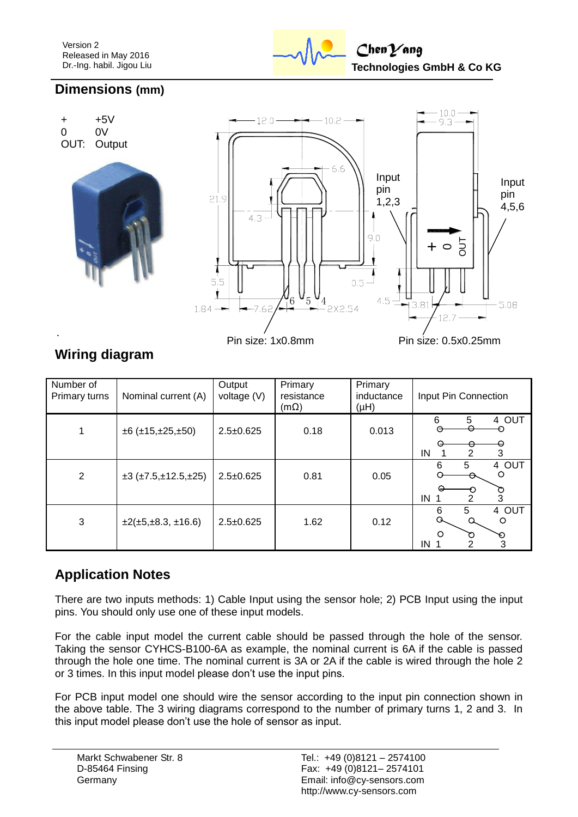

## **Dimensions (mm)**



## **Wiring diagram**

| Number of<br>Primary turns | Nominal current (A)                     | Output<br>voltage (V) | Primary<br>resistance<br>$(m\Omega)$ | Primary<br>inductance<br>(HH) | Input Pin Connection                  |  |  |
|----------------------------|-----------------------------------------|-----------------------|--------------------------------------|-------------------------------|---------------------------------------|--|--|
|                            | $\pm 6$ ( $\pm 15, \pm 25, \pm 50$ )    | $2.5 \pm 0.625$       | 0.18                                 | 0.013                         | 4 OUT<br>6<br>5<br>$\Theta$<br>2<br>3 |  |  |
|                            |                                         |                       |                                      |                               | IN<br>4 OUT<br>5<br>6                 |  |  |
| $\overline{2}$             | $\pm 3$ ( $\pm 7.5, \pm 12.5, \pm 25$ ) | $2.5 \pm 0.625$       | 0.81                                 | 0.05                          | $\circ$                               |  |  |
|                            |                                         |                       |                                      |                               | ত<br>3<br>IN                          |  |  |
| 3                          | $\pm 2(\pm 5, \pm 8.3, \pm 16.6)$       | $2.5 \pm 0.625$       | 1.62                                 | 0.12                          | 5<br>4 OUT<br>6<br>$\circ$            |  |  |
|                            |                                         |                       |                                      |                               | $\circ$<br>O<br>☜                     |  |  |
|                            |                                         |                       |                                      |                               | 3<br>IN                               |  |  |

## **Application Notes**

There are two inputs methods: 1) Cable Input using the sensor hole; 2) PCB Input using the input pins. You should only use one of these input models.

For the cable input model the current cable should be passed through the hole of the sensor. Taking the sensor CYHCS-B100-6A as example, the nominal current is 6A if the cable is passed through the hole one time. The nominal current is 3A or 2A if the cable is wired through the hole 2 or 3 times. In this input model please don't use the input pins.

For PCB input model one should wire the sensor according to the input pin connection shown in the above table. The 3 wiring diagrams correspond to the number of primary turns 1, 2 and 3. In this input model please don't use the hole of sensor as input.